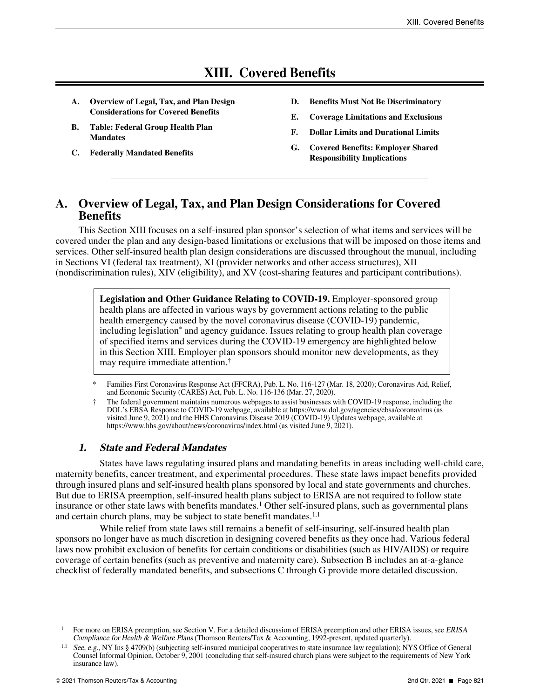# **XIII. Covered Benefits**

- **A. Overview of Legal, Tax, and Plan Design Considerations for Covered Benefits**
- **B. Table: Federal Group Health Plan Mandates**
- **C. Federally Mandated Benefits**
- **D. Benefits Must Not Be Discriminatory**
- **E. Coverage Limitations and Exclusions**
- **F. Dollar Limits and Durational Limits**
- **G. Covered Benefits: Employer Shared Responsibility Implications**

## **A. Overview of Legal, Tax, and Plan Design Considerations for Covered Benefits**

This Section XIII focuses on a self-insured plan sponsor's selection of what items and services will be covered under the plan and any design-based limitations or exclusions that will be imposed on those items and services. Other self-insured health plan design considerations are discussed throughout the manual, including in Sections VI (federal tax treatment), XI (provider networks and other access structures), XII (nondiscrimination rules), XIV (eligibility), and XV (cost-sharing features and participant contributions).

> **Legislation and Other Guidance Relating to COVID-19.** Employer-sponsored group health plans are affected in various ways by government actions relating to the public health emergency caused by the novel coronavirus disease (COVID-19) pandemic, including legislation\* and agency guidance. Issues relating to group health plan coverage of specified items and services during the COVID-19 emergency are highlighted below in this Section XIII. Employer plan sponsors should monitor new developments, as they may require immediate attention.†

### **1. State and Federal Mandates**

States have laws regulating insured plans and mandating benefits in areas including well-child care, maternity benefits, cancer treatment, and experimental procedures. These state laws impact benefits provided through insured plans and self-insured health plans sponsored by local and state governments and churches. But due to ERISA preemption, self-insured health plans subject to ERISA are not required to follow state insurance or other state laws with benefits mandates.<sup>1</sup> Other self-insured plans, such as governmental plans and certain church plans, may be subject to state benefit mandates.  $1.1$ 

While relief from state laws still remains a benefit of self-insuring, self-insured health plan sponsors no longer have as much discretion in designing covered benefits as they once had. Various federal laws now prohibit exclusion of benefits for certain conditions or disabilities (such as HIV/AIDS) or require coverage of certain benefits (such as preventive and maternity care). Subsection B includes an at-a-glance checklist of federally mandated benefits, and subsections C through G provide more detailed discussion.

<sup>\*</sup> Families First Coronavirus Response Act (FFCRA), Pub. L. No. 116-127 (Mar. 18, 2020); Coronavirus Aid, Relief, and Economic Security (CARES) Act, Pub. L. No. 116-136 (Mar. 27, 2020).

<sup>†</sup> The federal government maintains numerous webpages to assist businesses with COVID-19 response, including the DOL's EBSA Response to COVID-19 webpage, available at https://www.dol.gov/agencies/ebsa/coronavirus (as visited June 9, 2021) and the HHS Coronavirus Disease 2019 (COVID-19) Updates webpage, available at https://www.hhs.gov/about/news/coronavirus/index.html (as visited June 9, 2021).

<sup>&</sup>lt;sup>1</sup> For more on ERISA preemption, see Section V. For a detailed discussion of ERISA preemption and other ERISA issues, see *ERISA* Compliance for Health & Welfare Plans (Thomson Reuters/Tax & Accounting, 1992-present, updated quarterly).

See, e.g., NY Ins § 4709(b) (subjecting self-insured municipal cooperatives to state insurance law regulation); NYS Office of General Counsel Informal Opinion, October 9, 2001 (concluding that self-insured church plans were subject to the requirements of New York insurance law).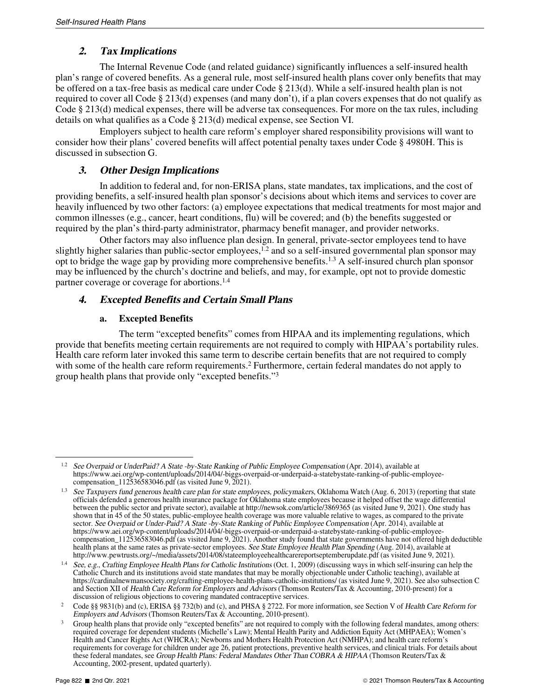### **2. Tax Implications**

The Internal Revenue Code (and related guidance) significantly influences a self-insured health plan's range of covered benefits. As a general rule, most self-insured health plans cover only benefits that may be offered on a tax-free basis as medical care under Code § 213(d). While a self-insured health plan is not required to cover all Code § 213(d) expenses (and many don't), if a plan covers expenses that do not qualify as Code § 213(d) medical expenses, there will be adverse tax consequences. For more on the tax rules, including details on what qualifies as a Code § 213(d) medical expense, see Section VI.

Employers subject to health care reform's employer shared responsibility provisions will want to consider how their plans' covered benefits will affect potential penalty taxes under Code § 4980H. This is discussed in subsection G.

#### **3. Other Design Implications**

In addition to federal and, for non-ERISA plans, state mandates, tax implications, and the cost of providing benefits, a self-insured health plan sponsor's decisions about which items and services to cover are heavily influenced by two other factors: (a) employee expectations that medical treatments for most major and common illnesses (e.g., cancer, heart conditions, flu) will be covered; and (b) the benefits suggested or required by the plan's third-party administrator, pharmacy benefit manager, and provider networks.

Other factors may also influence plan design. In general, private-sector employees tend to have slightly higher salaries than public-sector employees, $1.2$  and so a self-insured governmental plan sponsor may opt to bridge the wage gap by providing more comprehensive benefits.1.3 A self-insured church plan sponsor may be influenced by the church's doctrine and beliefs, and may, for example, opt not to provide domestic partner coverage or coverage for abortions.<sup>1.4</sup>

#### **4. Excepted Benefits and Certain Small Plans**

#### **a. Excepted Benefits**

The term "excepted benefits" comes from HIPAA and its implementing regulations, which provide that benefits meeting certain requirements are not required to comply with HIPAA's portability rules. Health care reform later invoked this same term to describe certain benefits that are not required to comply with some of the health care reform requirements.<sup>2</sup> Furthermore, certain federal mandates do not apply to group health plans that provide only "excepted benefits."<sup>3</sup>

 $1.2$  See Overpaid or UnderPaid? A State -by-State Ranking of Public Employee Compensation (Apr. 2014), available at https://www.aei.org/wp-content/uploads/2014/04/-biggs-overpaid-or-underpaid-a-statebystate-ranking-of-public-employeecompensation  $112536583046$ .pdf (as visited June 9, 2021).

<sup>&</sup>lt;sup>1.3</sup> See Taxpayers fund generous health care plan for state employees, policymakers, Oklahoma Watch (Aug. 6, 2013) (reporting that state officials defended a generous health insurance package for Oklahoma state employees because it helped offset the wage differential between the public sector and private sector), available at http://newsok.com/article/3869365 (as visited June 9, 2021). One study has shown that in 45 of the 50 states, public-employee health coverage was more valuable relative to wages, as compared to the private sector. See Overpaid or Under-Paid? A State -by-State Ranking of Public Employee Compensation (Apr. 2014), available at https://www.aei.org/wp-content/uploads/2014/04/-biggs-overpaid-or-underpaid-a-statebystate-ranking-of-public-employeecompensation\_112536583046.pdf (as visited June 9, 2021). Another study found that state governments have not offered high deductible health plans at the same rates as private-sector employees. See State Employee Health Plan Spending (Aug. 2014), available at http://www.pewtrusts.org/~/media/assets/2014/08/stateemployeehealthcarereportseptemberupdate.pdf (as visited June 9, 2021).

See, e.g., Crafting Employee Health Plans for Catholic Institutions (Oct. 1, 2009) (discussing ways in which self-insuring can help the Catholic Church and its institutions avoid state mandates that may be morally objectionable under Catholic teaching), available at https://cardinalnewmansociety.org/crafting-employee-health-plans-catholic-institutions/ (as visited June 9, 2021). See also subsection C and Section XII of Health Care Reform for Employers and Advisors (Thomson Reuters/Tax & Accounting, 2010-present) for a discussion of religious objections to covering mandated contraceptive services.

<sup>2</sup> Code §§ 9831(b) and (c), ERISA §§ 732(b) and (c), and PHSA § 2722. For more information, see Section V of Health Care Reform for Employers and Advisors (Thomson Reuters/Tax & Accounting, 2010-present).

Group health plans that provide only "excepted benefits" are not required to comply with the following federal mandates, among others: required coverage for dependent students (Michelle's Law); Mental Health Parity and Addiction Equity Act (MHPAEA); Women's Health and Cancer Rights Act (WHCRA); Newborns and Mothers Health Protection Act (NMHPA); and health care reform's requirements for coverage for children under age 26, patient protections, preventive health services, and clinical trials. For details about these federal mandates, see Group Health Plans: Federal Mandates Other Than COBRA & HIPAA (Thomson Reuters/Tax & Accounting, 2002-present, updated quarterly).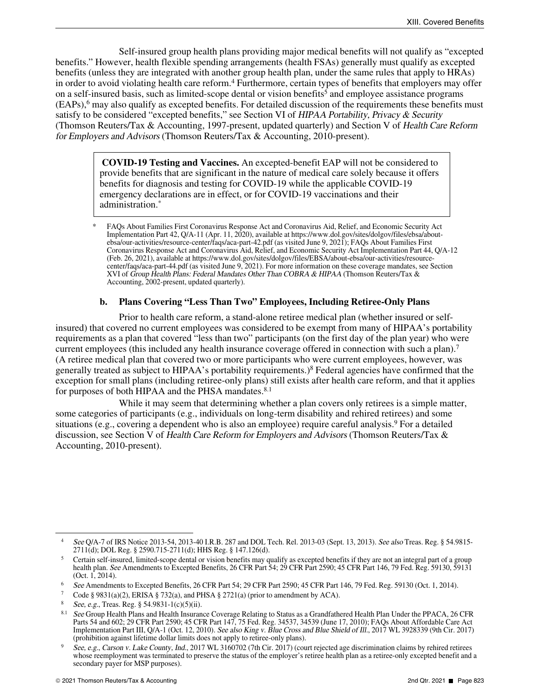Self-insured group health plans providing major medical benefits will not qualify as "excepted benefits." However, health flexible spending arrangements (health FSAs) generally must qualify as excepted benefits (unless they are integrated with another group health plan, under the same rules that apply to HRAs) in order to avoid violating health care reform.<sup>4</sup> Furthermore, certain types of benefits that employers may offer on a self-insured basis, such as limited-scope dental or vision benefits<sup>5</sup> and employee assistance programs (EAPs),<sup>6</sup> may also qualify as excepted benefits. For detailed discussion of the requirements these benefits must satisfy to be considered "excepted benefits," see Section VI of HIPAA Portability, Privacy & Security (Thomson Reuters/Tax & Accounting, 1997-present, updated quarterly) and Section V of Health Care Reform for Employers and Advisors (Thomson Reuters/Tax & Accounting, 2010-present).

> **COVID-19 Testing and Vaccines.** An excepted-benefit EAP will not be considered to provide benefits that are significant in the nature of medical care solely because it offers benefits for diagnosis and testing for COVID-19 while the applicable COVID-19 emergency declarations are in effect, or for COVID-19 vaccinations and their administration.\*

#### **b. Plans Covering "Less Than Two" Employees, Including Retiree-Only Plans**

Prior to health care reform, a stand-alone retiree medical plan (whether insured or selfinsured) that covered no current employees was considered to be exempt from many of HIPAA's portability requirements as a plan that covered "less than two" participants (on the first day of the plan year) who were current employees (this included any health insurance coverage offered in connection with such a plan).<sup>7</sup> (A retiree medical plan that covered two or more participants who were current employees, however, was generally treated as subject to HIPAA's portability requirements.)<sup>8</sup> Federal agencies have confirmed that the exception for small plans (including retiree-only plans) still exists after health care reform, and that it applies for purposes of both HIPAA and the PHSA mandates.<sup>8.1</sup>

While it may seem that determining whether a plan covers only retirees is a simple matter, some categories of participants (e.g., individuals on long-term disability and rehired retirees) and some situations (e.g., covering a dependent who is also an employee) require careful analysis.<sup>9</sup> For a detailed discussion, see Section V of Health Care Reform for Employers and Advisors (Thomson Reuters/Tax & Accounting, 2010-present).

<sup>\*</sup> FAQs About Families First Coronavirus Response Act and Coronavirus Aid, Relief, and Economic Security Act Implementation Part 42, Q/A-11 (Apr. 11, 2020), available at https://www.dol.gov/sites/dolgov/files/ebsa/aboutebsa/our-activities/resource-center/faqs/aca-part-42.pdf (as visited June 9, 2021); FAQs About Families First Coronavirus Response Act and Coronavirus Aid, Relief, and Economic Security Act Implementation Part 44, Q/A-12 (Feb. 26, 2021), available at https://www.dol.gov/sites/dolgov/files/EBSA/about-ebsa/our-activities/resourcecenter/faqs/aca-part-44.pdf (as visited June 9, 2021). For more information on these coverage mandates, see Section XVI of Group Health Plans: Federal Mandates Other Than COBRA & HIPAA (Thomson Reuters/Tax & Accounting, 2002-present, updated quarterly).

<sup>4</sup> See Q/A-7 of IRS Notice 2013-54, 2013-40 I.R.B. 287 and DOL Tech. Rel. 2013-03 (Sept. 13, 2013). See also Treas. Reg. § 54.9815- 2711(d); DOL Reg. § 2590.715-2711(d); HHS Reg. § 147.126(d).

<sup>5</sup> Certain self-insured, limited-scope dental or vision benefits may qualify as excepted benefits if they are not an integral part of a group health plan. See Amendments to Excepted Benefits, 26 CFR Part 54; 29 CFR Part 2590; 45 CFR Part 146, 79 Fed. Reg. 59130, 59131 (Oct. 1, 2014).

<sup>6</sup> See Amendments to Excepted Benefits, 26 CFR Part 54; 29 CFR Part 2590; 45 CFR Part 146, 79 Fed. Reg. 59130 (Oct. 1, 2014).

Code § 9831(a)(2), ERISA § 732(a), and PHSA § 2721(a) (prior to amendment by ACA).

See, e.g., Treas. Reg. § 54.9831-1(c)(5)(ii).

 $8.1$  See Group Health Plans and Health Insurance Coverage Relating to Status as a Grandfathered Health Plan Under the PPACA, 26 CFR Parts 54 and 602; 29 CFR Part 2590; 45 CFR Part 147, 75 Fed. Reg. 34537, 34539 (June 17, 2010); FAQs About Affordable Care Act Implementation Part III, Q/A-1 (Oct. 12, 2010). See also King v. Blue Cross and Blue Shield of Ill., 2017 WL 3928339 (9th Cir. 2017) (prohibition against lifetime dollar limits does not apply to retiree-only plans).

See, e.g., Carson v. Lake County, Ind., 2017 WL 3160702 (7th Cir. 2017) (court rejected age discrimination claims by rehired retirees whose reemployment was terminated to preserve the status of the employer's retiree health plan as a retiree-only excepted benefit and a secondary payer for MSP purposes).